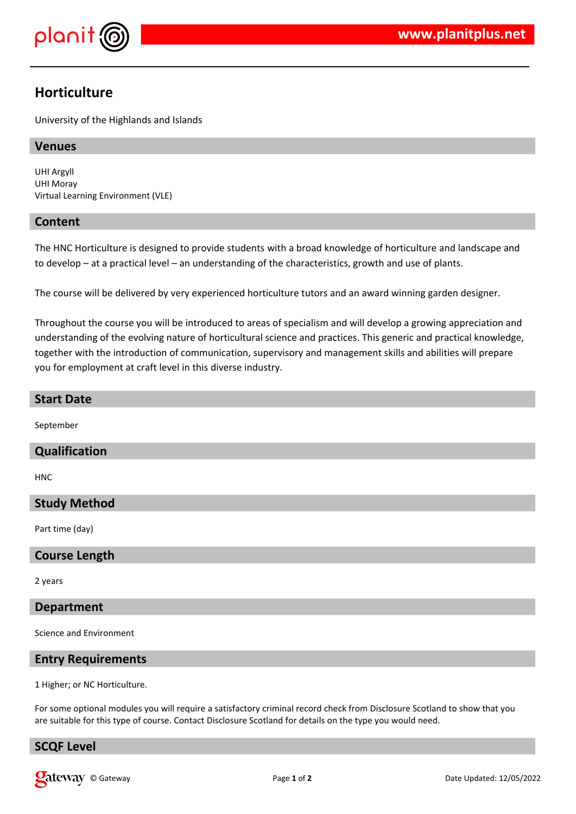

# **Horticulture**

University of the Highlands and Islands

# **Venues**

UHI Argyll UHI Moray Virtual Learning Environment (VLE)

# **Content**

The HNC Horticulture is designed to provide students with a broad knowledge of horticulture and landscape and to develop – at a practical level – an understanding of the characteristics, growth and use of plants.

The course will be delivered by very experienced horticulture tutors and an award winning garden designer.

Throughout the course you will be introduced to areas of specialism and will develop a growing appreciation and understanding of the evolving nature of horticultural science and practices. This generic and practical knowledge, together with the introduction of communication, supervisory and management skills and abilities will prepare you for employment at craft level in this diverse industry.

#### **Start Date**

September

# **Qualification**

**HNC** 

# **Study Method**

Part time (day)

# **Course Length**

2 years

#### **Department**

Science and Environment

# **Entry Requirements**

1 Higher; or NC Horticulture.

For some optional modules you will require a satisfactory criminal record check from Disclosure Scotland to show that you are suitable for this type of course. Contact Disclosure Scotland for details on the type you would need.

# **SCQF Level**

© Gateway Page **1** of **2** Date Updated: 12/05/2022